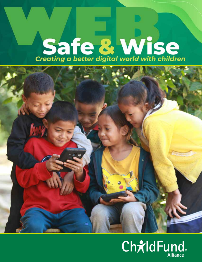# Safe & Wise



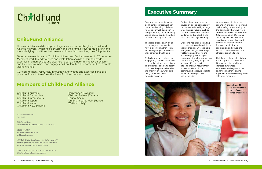2 | ChildFund Alliance | childfundalliance.org 3 | ChildFund Alliance | childfundalliance.org

## **Executive Summary**

Eleven child-focused development agencies are part of the global ChildFund Alliance network, which helps children and their families overcome poverty and the underlying conditions that prevent children from reaching their full potential.

> Barnfonden (Sweden) Children Believe (Canada) Educo (Spain) Un Enfant par la Main (France) WeWorld (*Italy*)

Together we reach nearly 23 million children and family members in 70 countries. Members work to end violence and exploitation against children; provide expertise in emergencies and disasters to ease the harmful impact on children and their communities; and engage children, families and communities to create lasting change.

Our commitment, resources, innovation, knowledge and expertise serve as a powerful force to transform the lives of children around the world.

ChildFund Australia ChildFund Deutschland ChildFund International ChildFund Japan ChildFund Korea ChildFund New Zealand



## **ChildFund Alliance**

## **Members of ChildFund Alliance**

Over the last three decades, significant progress has been made in advancing children's rights to survival, opportunity, and protection, and in ensuring young people can be heard on matters affecting their lives.

The rapid expansion in digital technologies, however, is now exposing children to an increasing range of threats to their safety and wellbeing.

Globally, laws and policies to keep young people safe online are insufficient and inconsistent. This threatens children's ability to access the positive benefits the internet offers, while also being protected from potential dangers.

Further, the extent of harm caused by online connectivity can be exacerbated by a range of contextual factors, such as children's resilience, parental guidance and support, and a child's level of digital literacy.

ChildFund has a long-standing commitment to ending violence against children. Over the next four years, our global strategy will focus on addressing the risks emerging in the digital environment, while empowering children and young people to become effective digital citizens. This will require their access to information and learning, and exposure to skills to use technology safely and responsibly.

Our efforts will include the expansion of digital literacy and online safety programming in the countries where we work, and the launch of our WEB Safe & Wise campaign. Our global advocacy initiative will focus on driving stronger laws and policies to protect children from online child sexual exploitation and abuse and efforts to help them become effective digital citizens.

ChildFund believes all children have a right to be safe online. Our overarching goal is to increase awareness, education, and regulation to enhance children's online experiences while keeping them safe from predators.





© ChildFund Alliance May 2022

ChildFund Alliance 545 Fifth Avenue, Suite 1402 New York, NY 10017

+1.212.697.0859 info@childfundalliance.org childfundalliance.org

*WEB Safe* & *Wise: Creating a better digital world with children*, prepared by ChildFund Alliance Secretariat and the ChildFund Online Safety Group.

Cover image: Children using technology as part of ChildFund Laos' education programs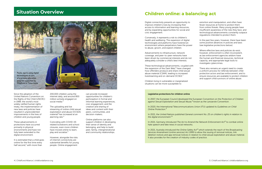## **Situation Overview Children online: a balancing act**

Since the adoption of the United Nations Convention on the Rights of the Child (UNCRC) in 1989, the world's most widely ratified human rights treaty, the implementation of new laws and policies have resulted in unprecedented improvements in the lives of children and young people.

It is estimated that a child goes online for the first time every half second,<sup>1</sup> with more than

These advancements in protections have occurred primarily in physical environments and have not fully been extended to the digital environment.

200,000 children using the internet daily, and around 800 million actively engaged on social media.*<sup>2</sup>*

In 2007, the European Council developed the European Convention on the *Protection of Children*  against Sexual Exploitation and Sexual Abuse,<sup>8</sup> known as the Lanzarote Convention.

The uploading and live streaming of online child sexual exploitation and abuse (OCSEA) material*<sup>3</sup>*has increased at an alarming rate.*<sup>4</sup>*

Coinciding with COVID-19 related lockdowns and school closures, even more children have moved online to learn, play and socialize.*<sup>5</sup>*

However, alongside the risks of internet connectivity are substantial benefits for young people. Online engagement

can provide increased opportunities for children's participation in formal and informal learning experiences, civic engagement, and the creation and sharing of ideas and content with their peers, communities, and decision-makers.

Online platforms can also support children in developing their sense of identity and belonging, and help to build peer, family, intergenerational and community relationships.

#### Legislative protections for children online

In 2020, the International Telecommunications Union (ITU) updated its *Guidelines on Child Online Protection*. *9* 

In 2021, the United Nations published *General comment No. 25 on children's rights in relation to the digital environment*. *10*

In 2021, Germany introduced *The Act to Amend the Network Enforcement Act11* to combat online hate speech and fake news in social networks.

In 2021, Australia introduced the *Online Safety Act12* which extends the reach of the *Broadcasting Services Amendment (online services) Act 1999* to allow the issuing of removal notices, link deletion notices and app removal notices in relation to child sexual exploitation and abuse material. It also provides for the creation of industry codes of practice.

Digital connectivity presents an opportunity to improve children's lives by increasing their access to information and learning resources, and by expanding opportunities for social and civic engagement.

Conversely, it represents a risk to children's health and wellbeing. The expansion of digital technologies and platforms have fostered an environment where perpetrators have the power to abuse, groom, and exploit children.

Advancements to infrastructure, network coverage, and peer-to-peer networks have been driven by commercial interests and do not adequately consider a child's best interests.

These technological advancements, coupled with the expansion of the Dark Web,*<sup>6</sup>* have changed how offenders produce and share child sexual abuse material (CSAM), leading to increased livestreaming and on-demand OCSEA.*<sup>7</sup>*

Children living in vulnerable or marginalized situations can be more susceptible to

extortion and manipulation, and often have fewer resources at home to protect them from online threats. Many young people have insufficient awareness of the risks they face, and technological advancements constantly outpace regulations intended to protect them.

In the past few years, however, there have been some positive advances in policies and laws (see legislative protections below).

Where effective laws and policies do exist, however, enforcement is often inconsistent, as law enforcement agencies seldom have the human and financial resources, technical capacity, and appropriate legal tools to investigate cybercrimes.

There also remains an urgent need to create a uniform process for referrals between child protection actors and law enforcement, and to ensure resources are available to protect children and support child survivors of online abuse.

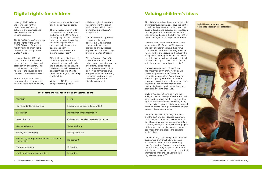## **Digital rights for children Valuing children's ideas**

Healthy childhoods are the foundation for the development of healthy behaviors and practices and lead to sustainable and thriving societies.

The *United Nations Convention on the Rights of the Child*  (UNCRC) is one of the most rapidly ratified human rights treaties in the history of the United Nations.

It became law in 1990 and serves as the foundation for the provision, protection, and participation of children. This coincided with the public release of the source code for the world's first web browser.*<sup>13</sup>*

At that time, no one could have predicted the impact the internet would have on society as a whole and specifically on children and young people.

Three decades later, in order to live up to our commitments enshrined in the UNCRC, we must equally respect children's rights online as well as offline. Access to digital devices or connectivity is not yet a guaranteed right for children, which heightens existing inequalities.*<sup>14</sup>*

Children have voices, and their ideas add value. Article 12 of the UNCRC stipulates the right of children to have their views considered in decisions affecting their lives: "States Parties shall assure to the child who is capable of forming his or her own views the right to express those views freely in all matters affecting the child … in accordance with the age and maturity of the child."

Affordable and reliable access to technology, the internet and public services will bridge the digital divide and allow for children to have increased and consistent opportunities to develop their digital skills safely and healthily.

While the UNCRC is the most comprehensive guide to

children's rights, it does not implicitly cover the digital environment, which is why *General comment No. 25*  is significant.

General comments provide a comprehensive basis to address evolving thematic issues, evidence-based provisions, and suggested approaches for modernizing and implementing treaties.

*General comment No. 25*  substantiates that children's rights apply equally both online and offline. It also makes concrete recommendations on how to harmonize laws and policies while promoting, respecting, and protecting children's rights in the digital environment.

All children, including those from vulnerable and marginalized situations, have the right to contribute their views and solutions to the design, delivery and evaluation of legislation, policies, products, and services that affect their safety and ensure the fulfillment of their needs and rights in the digital environment.



6 | ChildFund Alliance | childfundalliance.org 7 | ChildFund Alliance | childfundalliance.org

*General comment No. 20 (2016) on the implementation of the rights of the child during adolescence15* advances the guidance on children's participation and calls upon governments to ensure adolescents contribute to the development, implementation and monitoring of all relevant legislation, policies, services, and programs affecting their lives.

Children's digital citizenship,*<sup>16</sup>* and their ability to use technology, affords them both safety and empowerment in realizing their right to participate online. However, many reasons exist as to why children are unable to reach or access the required skills to engage in safe online environments.

Inequitable global technological access, and the cost of digital devices, can mean their ability to participate online is simply out of reach. Where internet connectivity is available, the digital literacy knowledge gaps of their parents, caregivers and educators can mean they are exposed to dangers while online.

Understanding how the digital world works, even where a child's ability to access it is limited, is still essential to preventing harmful situations from occurring. It also helps ensure young people are equipped with the necessary tools so they can protect themselves once they do venture into digital environments.*<sup>17</sup>*



| The benefits and risks for children's engagement online        |                                            |
|----------------------------------------------------------------|--------------------------------------------|
| <b>BENEFITS</b>                                                | <b>RISKS</b>                               |
| Formal and informal learning                                   | Exposure to harmful online content         |
| Information                                                    | Misinformation/disinformation              |
| Health literacy                                                | Online child sexual exploitation and abuse |
| Civic engagement                                               | Cyber-bullying                             |
| Identity and belonging                                         | Privacy violations                         |
| Peer, family, intergenerational and community<br>relationships | Harassment                                 |
| Play and recreation                                            | Grooming                                   |
| Youth employment opportunities                                 | Sextortion                                 |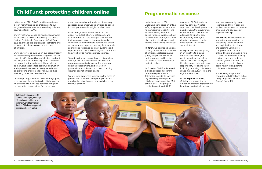## **ChildFund: protecting children online The Programmatic response**

In February 2022, ChildFund Alliance released a four-year strategic plan that reasserts our long-standing commitment to ending violence against children (EVAC).

Our #FreefromViolence campaign, launched in 2016, played a key role in securing the United Nations Sustainable Development Goal Target 16.2: end the abuse, exploitation, trafficking and all forms of violence against and torture of children.

Our goal now is to build upon our past advocacy work by tackling new and evolving risks that are currently affecting millions of children, and which will likely affect exponentially more children in the future if left unaddressed. Above all else, as the world experiences continued disruption and upheaval, we need a strengthened focus on protecting children, their rights, and their wellbeing more than ever before.

Our first priority, identified in our strategic plan, is to examine the rise in risks to children online. This will require a balance between mitigating the mounting dangers they face in an ever

more connected world, while simultaneously supporting and empowering children to benefit from opportunities in a digital environment.

> In Benin, we developed a digital training model for the protection of children, adolescents, and young people from violence on the internet and learning resources to help them safely navigate online.

Across the globe increased access to the digital world, lack of online safeguards, and low awareness of risks amongst children and their caregivers make children particularly vulnerable to online threats. Further, the extent of harm caused depends on many factors, such as children's resilience, parental guidance and support, and a child's level of digital skills, such as knowing how to manage privacy settings.

In Japan, we are participating in an initiative to expand the national Child Rights Act to include online safety and establish a Child Rights Regulatory Authority with direct responsibility for online safety including removing child sexual abuse material (CSAM) from the digital environment.

To address the increasing threats children face online, ChildFund Alliance will build on our programming and advocacy efforts, leverage existing collaborations, and create new partnerships with those committed to ending violence against children online.

In Vietnam, we established an innovative program aimed at preventing the online abuse and exploitation of children and teaching youth core competencies to be safe online. The program works with schools to create safe learning environments and mobilizes parents, youth, educators, and the private sector to play an active role in strengthening children's online safety.

We will raise awareness focused on the areas of prevention, protection, and participation, and mobilize key stakeholders to help children reach their full potential.

In the latter part of 2021, ChildFund conducted an online safety mapping exercise across its membership to identify the work underway to address online violence. Evidence shows that over 80% of programs took place in the global south, and include the following initiatives:

In Ecuador, ChildFund created a digital education program promoted by Fundación Telefónica Movistar to increase digital literacy and support children's development of 21st century skills. This program reached more than 60,000

teachers, 100,000 students, and 700 schools. We also supported the development of a pact between the Government of Ecuador and children and adolescents with the aim of protecting their rights, dignity, and comprehensive development to achieve a

secure internet.

#### In the Republic of Korea,

ChildFund is supporting an education program implemented by primary and middle school

teachers, community center teachers, and library program facilitators that aims to increase children's and adolescents' digital citizenship.

A preliminary snapshot of countries with ChildFund online safety programs can be found in Annex 1 (page 12).

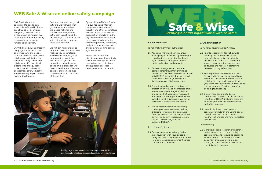

### **WEB Safe & Wise: an online safety campaign**

ChildFund Alliance is committed to building an accessible, safe, and inclusive digital world for all children and young people based on an ecological framework that requires governments, industry, community members and families to take action.

Our WEB Safe & Wise advocacy campaign is focused on two outcomes; laws and policies to protect children from online child sexual exploitation and abuse are strengthened; and children are effective digital citizens who are equipped to participate in online civic engagement safely, ethically, and responsibly as part of their healthy development.

Over the course of this global initiative, we will work with government authorities at the global, national, and sub-national level, leaders in the tech industry and the broader digital community, and with civil society, to advance these calls to action.

We will join with partners to promote these policy asks and mobilize key stakeholders. Based on decades of global programming experience, we are also cognizant that preventing and addressing online child exploitation will have limited impact unless we consider children and their communities as a critical part of the solution.

By launching WEB Safe & Wise, it is our hope and intention that governments, the tech industry, and other stakeholders involved in the protection and participation of children in the digital environment will adopt these asks, transforming the way they approach, coordinate, budget, allocate resources to, and criminalize online abuses against children.

Across low, middle and high-income country contexts, ChildFund seeks global policy asks to improve protections, and support digital skills development and citizenship.

#### 1. Child Protection

*To national government authorities:*

- 1.1 Allocate a mandated ministry and/or lead agency to lead cross-governmental coordination to prevent online harms against children through awareness raising, education, and regulation.
- 1.2 Develop, strengthen, and enforce comprehensive laws that criminalize online child sexual exploitation and abuse acts (OCSEA) including, but not limited to sextortion, online grooming, and livestreaming of child sexual abuse.
- 1.3 Strengthen and resource existing child protection systems to incorporate online elements of violence against children and ensure that adequately resourced end-to-end social support services are available for all child survivors of online child sexual exploitation and abuse.
- 1.4 Allocate resources nationally during budget processes to develop training programs for parents and caregivers, frontline workers, and service providers on how to identify, report and respond to child online safety risks and suspected OCSEA.
- *To tech industry leaders:*
- 1.5 Develop mandatory industry codes in consultation with young people to safeguard them online and protect them from age-inappropriate content across platforms and providers.

#### 2. Child Participation

*To national government authorities:*

- 2.1 Prioritize resourcing for stable, widereaching, and affordable internet connectivity and reliable electricity infrastructure so that all children and young people have the access required to develop the necessary protective behaviors to stay safe online.
- 2.2 Adopt quality online safety curricula in formal and informal education settings and across urban and remote locations that develop core digital competencies (e.g., using privacy settings, understanding the permanency of online content) and good digital citizenship.
- 2.3 Create more community-based mechanisms for child safe disclosure and reporting of OCSEA, including parenting or youth groups linked to formal child protection systems.
- 2.4 Invest in dedicated development programs for children and young people that educate them about consent, healthy relationships and how to disclose abuse safely.

*To civil society:*

2.5 Conduct periodic research of children's online experiences to inform policy, programming, and resourcing decisions. At a minimum, such research should document children's levels of digital literacy and their family's access to and use of digital technology.

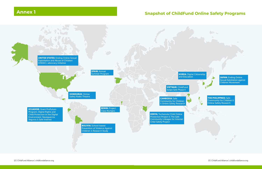## **Annex 1 Snapshot of ChildFund Online Safety Programs**

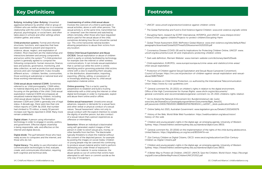*1* UNICEF: www.unicef.org/protection/violence-against-children-online

*2* The Global Partnership and Fund to End Violence Against Children: www.end-violence.org/safe-online

*3* Disrupting Harm, research by ECPAT International, INTERPOL and UNICEF: www.interpol.int/en/ Crimes/Crimes-against-children/Projects-to-protect-children/Disrupting-Harm

*4* Global Threat Assessment 2019, WeProtect Global Alliance: www.end-violence.org/sites/default/files/ paragraphs/download/Global%20Threat%20Assessment%202019.pdf

<sup>9</sup> The Guidelines on Child Online Protection, co-authored by the International Telecommunication Union: https://www.itu-cop-guidelines.com

*5* Coronavirus Disease (COVID-19) and Its Implications for Protecting Children Online, UNICEF: www. unicef.org/documents/covid-19-and-implications-protecting-children-online

*6* Dark web definition, Merriam Webster: www.merriam-webster.com/dictionary/dark%20web

*7* Child exploitation, EUROPOL: www.europol.europa.eu/crime-areas-and-statistics/crime-areas/ child-sexual-exploitation

*8* Protection of Children against Sexual Exploitation and Sexual Abuse (Lanzarote Convention), Council of Europe: https://rm.coe.int/protection-of-children-against-sexual-exploitation-and-sexualabuse/1680794e97

*<sup>10</sup>* General comment No. 25 (2021) on children's rights in relation to the digital environment, Office of the High Commissioner for Human Rights: www.ohchr.org/en/documents/ general-comments-and-recommendations/general-comment-no-25-2021-childrens-rights-relation

*<sup>11</sup>* Act to Amend the Network Enforcement Act, Bundeministerium der Justiz: www.bmj.de/SharedDocs/Gesetzgebungsverfahren/Dokumente/Bgbl\_NetzDG. pdf;jsessionid=D4DE27B32DEEC4B8B1910FE6781E8324.1\_cid334?\_\_blob=publicationFile&v=2

*<sup>12</sup>* Online Safety Act 2021, Australian Government: www.legislation.gov.au/Details/C2021A00076

*<sup>13</sup>* History of the Web, World Wide Web Foundation: https://webfoundation.org/about/vision/ history-of-the-web

*<sup>14</sup>* Children and young people's rights in the digital age: an emerging agenda, University of Western Sydney: https://researchdirect.westernsydney.edu.au/islandora/object/uws:38531

*<sup>15</sup>* General comment No. 20 (2016) on the implementation of the rights of the child during adolescence, United Nations: https://digitallibrary.un.org/record/855544?ln=en

*<sup>16</sup>* 21st Century Children as Digital Citizens, OECD: www.oecd.org/education/ceri/21st-Century-Children-as-Digital-Citizens.pdf

*<sup>17</sup>* Children and young people's rights in the digital age: an emerging agenda, University of Western Sydney: https://researchdirect.westernsydney.edu.au/islandora/object/uws:38531

*<sup>18</sup>* A Better Way to Protect all Children, UNICEF, UNHCR, Save the Children, World Vision: https://fecongd. org/pdf/crianca/BetterWayProtectChildrenUNICEF2012.pdf

## **Key Definitions Executive Construction Construction Construction Construction Construction Construction Construction Construction Construction Construction Construction Construction Construction Construction Construction**

Bullying, including Cyber-Bullying: Unwanted aggressive behavior by another child or group of children who are neither siblings nor in a romantic relationship with the victim. It involves repeated physical, psychological, or social harm, and often takes place in schools and other settings where children gather, and online.

Child protection systems: Formal and informal structures, functions, and capacities that have been assembled to prevent and respond to violence, abuse, neglect, and exploitation of children. Most important are the relationships and interactions between and among components and actors within the system.*<sup>18</sup>* A child protection system is generally agreed to comprise the following components: human resources, finance, laws and policies, governance, monitoring, and data collection, as well as protection and response services and care management. It also includes different actors – children, families, communities, those working at subnational or national level and those working internationally.

Child sexual abuse material (CSAM): Sometimes referred to as 'child pornography,' CSAM refers to material depicting acts of sexual abuse and/or focusing on the genitalia of the child. Child sexual exploitation material (CSEM) encompasses all sexualized material depicting children, including child sexual abuse material. The distinction between CSEM and CSAM is generally one of legal status. A decade ago, there were less than one million reports of CSAM. By 2019, that number had climbed to 70 million, a nearly 50 percent increase over figures reported in 2018. Many more remain undetected.

Digital citizen: A person using information technology in order to engage in society, politics, and government. Effective digital citizenship is being responsible, safe, and effective on the internet and digital devices.

Digital divide: The gulf between those who have ready access to computers and the internet, and those who do not.

Digital literacy: The ability to use information and communication technologies to find, evaluate, create, and communicate information, requiring both cognitive and technical skills.

#### Livestreaming of online child sexual abuse:

Involves the coercion of a child to participate in sexual activities, alone or with other persons. The sexual activity is, at the same time, transmitted live or 'streamed' over the internet and watched by others remotely, often those who have requested and/or paid for the sexual abuse of the child, sometimes dictating how the act should be carried out. This crime transcends national borders allowing perpetrators to abuse their victims from any location.

Online Child Sexual Exploitation and Abuse (OCSEA): Sexual exploitation or abuse of children which is partly or entirely facilitated by technology, for example over the internet or other wireless communications. It can include sexual exploitation that is carried out while the victim is online; identifying and/or grooming potential child victims online with a view to exploiting them sexually; or the distribution, dissemination, importing, exporting, offering, selling, or possession of, or knowingly attaining access to, child sexual exploitation material online.

Online grooming: This is a tactic used by perpetrators to establish and build a trusting relationship with a child using the internet or other digital technologies in order to manipulate, exploit and abuse them online and/or offline.

Online sexual harassment: Unwelcome sexual advances, requests or demands for a sexual favor, and other verbal or physical conduct of a sexual nature. 'Sexual harassment' refers not only to sexual conduct with the explicit intention to violate the dignity of another person, but also conduct of a sexual nature that a person experiences as offensive or intimidating.

Sextortion: Where an individual is blackmailed using self-generated, explicit images of that person in order to extort sexual acts, money, or other benefits from her/him. The blackmailer typically threatens to share the material without the consent of the depicted person, for example by posting the images on social media. Children or young people may be coerced into continuing to produce sexual material and/or told to perform distressing acts under threat of exposure to others of the material. In some instances, the abuse spirals so out of control that victims have attempted to self-harm or commit suicide as the only way of escaping it.